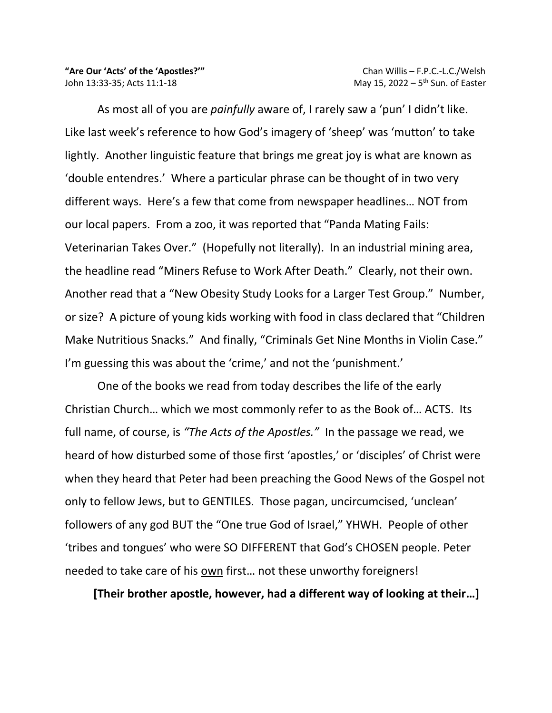As most all of you are *painfully* aware of, I rarely saw a 'pun' I didn't like. Like last week's reference to how God's imagery of 'sheep' was 'mutton' to take lightly. Another linguistic feature that brings me great joy is what are known as 'double entendres.' Where a particular phrase can be thought of in two very different ways. Here's a few that come from newspaper headlines… NOT from our local papers. From a zoo, it was reported that "Panda Mating Fails: Veterinarian Takes Over." (Hopefully not literally). In an industrial mining area, the headline read "Miners Refuse to Work After Death." Clearly, not their own. Another read that a "New Obesity Study Looks for a Larger Test Group." Number, or size? A picture of young kids working with food in class declared that "Children Make Nutritious Snacks." And finally, "Criminals Get Nine Months in Violin Case." I'm guessing this was about the 'crime,' and not the 'punishment.'

One of the books we read from today describes the life of the early Christian Church… which we most commonly refer to as the Book of… ACTS. Its full name, of course, is *"The Acts of the Apostles."* In the passage we read, we heard of how disturbed some of those first 'apostles,' or 'disciples' of Christ were when they heard that Peter had been preaching the Good News of the Gospel not only to fellow Jews, but to GENTILES. Those pagan, uncircumcised, 'unclean' followers of any god BUT the "One true God of Israel," YHWH. People of other 'tribes and tongues' who were SO DIFFERENT that God's CHOSEN people. Peter needed to take care of his own first… not these unworthy foreigners!

 **[Their brother apostle, however, had a different way of looking at their…]**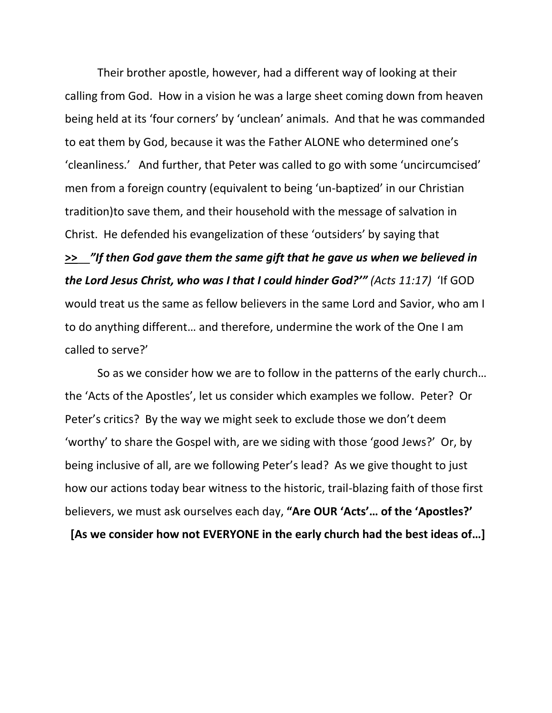Their brother apostle, however, had a different way of looking at their calling from God. How in a vision he was a large sheet coming down from heaven being held at its 'four corners' by 'unclean' animals. And that he was commanded to eat them by God, because it was the Father ALONE who determined one's 'cleanliness.' And further, that Peter was called to go with some 'uncircumcised' men from a foreign country (equivalent to being 'un-baptized' in our Christian tradition)to save them, and their household with the message of salvation in Christ. He defended his evangelization of these 'outsiders' by saying that **>>**\_\_*"If then God gave them the same gift that he gave us when we believed in the Lord Jesus Christ, who was I that I could hinder God?'" (Acts 11:17)* 'If GOD would treat us the same as fellow believers in the same Lord and Savior, who am I to do anything different… and therefore, undermine the work of the One I am

## called to serve?'

So as we consider how we are to follow in the patterns of the early church… the 'Acts of the Apostles', let us consider which examples we follow. Peter? Or Peter's critics? By the way we might seek to exclude those we don't deem 'worthy' to share the Gospel with, are we siding with those 'good Jews?' Or, by being inclusive of all, are we following Peter's lead? As we give thought to just how our actions today bear witness to the historic, trail-blazing faith of those first believers, we must ask ourselves each day, **"Are OUR 'Acts'… of the 'Apostles?'**

 **[As we consider how not EVERYONE in the early church had the best ideas of…]**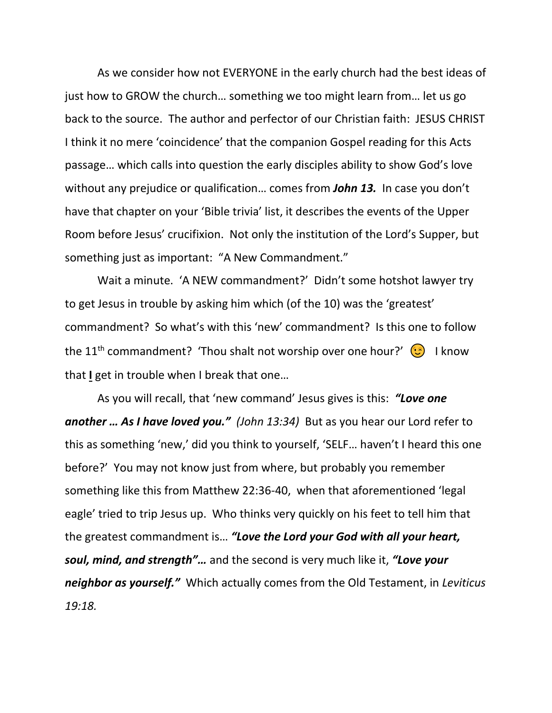As we consider how not EVERYONE in the early church had the best ideas of just how to GROW the church… something we too might learn from… let us go back to the source. The author and perfector of our Christian faith: JESUS CHRIST I think it no mere 'coincidence' that the companion Gospel reading for this Acts passage… which calls into question the early disciples ability to show God's love without any prejudice or qualification… comes from *John 13.* In case you don't have that chapter on your 'Bible trivia' list, it describes the events of the Upper Room before Jesus' crucifixion. Not only the institution of the Lord's Supper, but something just as important: "A New Commandment."

Wait a minute. 'A NEW commandment?' Didn't some hotshot lawyer try to get Jesus in trouble by asking him which (of the 10) was the 'greatest' commandment? So what's with this 'new' commandment? Is this one to follow the 11<sup>th</sup> commandment? 'Thou shalt not worship over one hour?'  $\bigodot$  I know that **I** get in trouble when I break that one…

As you will recall, that 'new command' Jesus gives is this: *"Love one another … As I have loved you." (John 13:34)* But as you hear our Lord refer to this as something 'new,' did you think to yourself, 'SELF… haven't I heard this one before?' You may not know just from where, but probably you remember something like this from Matthew 22:36-40, when that aforementioned 'legal eagle' tried to trip Jesus up. Who thinks very quickly on his feet to tell him that the greatest commandment is… *"Love the Lord your God with all your heart, soul, mind, and strength"…* and the second is very much like it, *"Love your neighbor as yourself."* Which actually comes from the Old Testament, in *Leviticus 19:18.*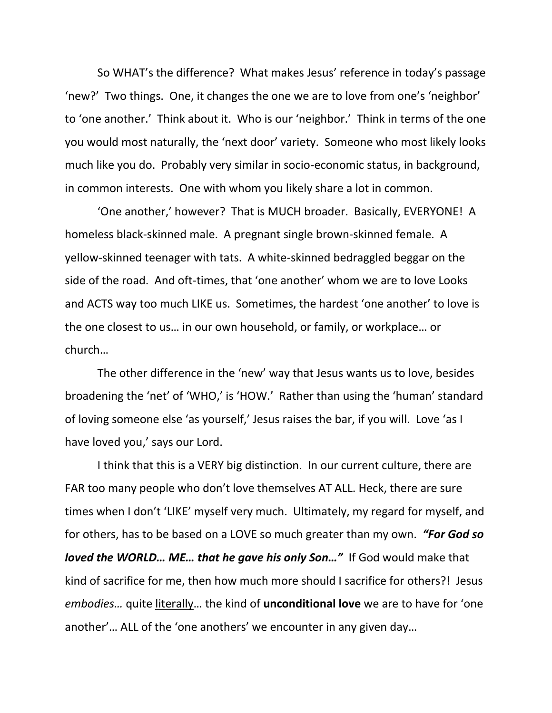So WHAT's the difference? What makes Jesus' reference in today's passage 'new?' Two things. One, it changes the one we are to love from one's 'neighbor' to 'one another.' Think about it. Who is our 'neighbor.' Think in terms of the one you would most naturally, the 'next door' variety. Someone who most likely looks much like you do. Probably very similar in socio-economic status, in background, in common interests. One with whom you likely share a lot in common.

'One another,' however? That is MUCH broader. Basically, EVERYONE! A homeless black-skinned male. A pregnant single brown-skinned female. A yellow-skinned teenager with tats. A white-skinned bedraggled beggar on the side of the road. And oft-times, that 'one another' whom we are to love Looks and ACTS way too much LIKE us. Sometimes, the hardest 'one another' to love is the one closest to us… in our own household, or family, or workplace… or church…

The other difference in the 'new' way that Jesus wants us to love, besides broadening the 'net' of 'WHO,' is 'HOW.' Rather than using the 'human' standard of loving someone else 'as yourself,' Jesus raises the bar, if you will. Love 'as I have loved you,' says our Lord.

I think that this is a VERY big distinction. In our current culture, there are FAR too many people who don't love themselves AT ALL. Heck, there are sure times when I don't 'LIKE' myself very much. Ultimately, my regard for myself, and for others, has to be based on a LOVE so much greater than my own. *"For God so loved the WORLD… ME… that he gave his only Son…"* If God would make that kind of sacrifice for me, then how much more should I sacrifice for others?! Jesus *embodies…* quite literally… the kind of **unconditional love** we are to have for 'one another'… ALL of the 'one anothers' we encounter in any given day…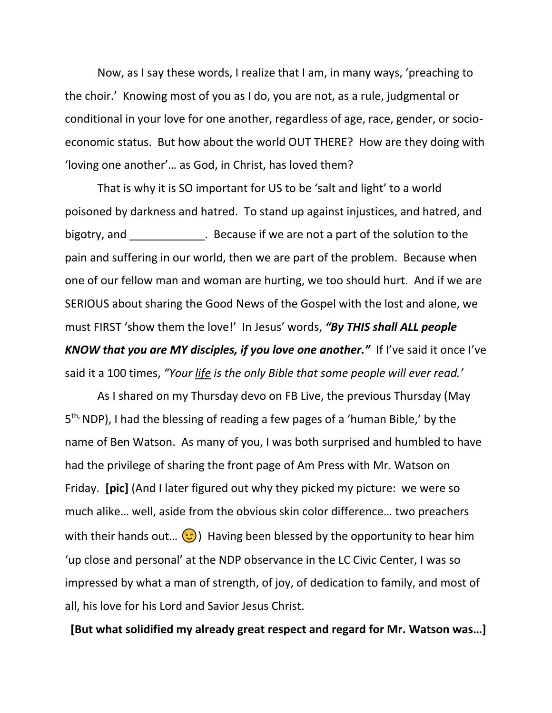Now, as I say these words, I realize that I am, in many ways, 'preaching to the choir.' Knowing most of you as I do, you are not, as a rule, judgmental or conditional in your love for one another, regardless of age, race, gender, or socioeconomic status. But how about the world OUT THERE? How are they doing with 'loving one another'… as God, in Christ, has loved them?

That is why it is SO important for US to be 'salt and light' to a world poisoned by darkness and hatred. To stand up against injustices, and hatred, and bigotry, and **Example 20** . Because if we are not a part of the solution to the pain and suffering in our world, then we are part of the problem. Because when one of our fellow man and woman are hurting, we too should hurt. And if we are SERIOUS about sharing the Good News of the Gospel with the lost and alone, we must FIRST 'show them the love!' In Jesus' words, *"By THIS shall ALL people KNOW that you are MY disciples, if you love one another."* If I've said it once I've said it a 100 times, *"Your life is the only Bible that some people will ever read.'*

As I shared on my Thursday devo on FB Live, the previous Thursday (May 5<sup>th,</sup> NDP), I had the blessing of reading a few pages of a 'human Bible,' by the name of Ben Watson. As many of you, I was both surprised and humbled to have had the privilege of sharing the front page of Am Press with Mr. Watson on Friday. **[pic]** (And I later figured out why they picked my picture: we were so much alike… well, aside from the obvious skin color difference… two preachers with their hands out...  $\odot$ ) Having been blessed by the opportunity to hear him 'up close and personal' at the NDP observance in the LC Civic Center, I was so impressed by what a man of strength, of joy, of dedication to family, and most of all, his love for his Lord and Savior Jesus Christ.

**[But what solidified my already great respect and regard for Mr. Watson was…]**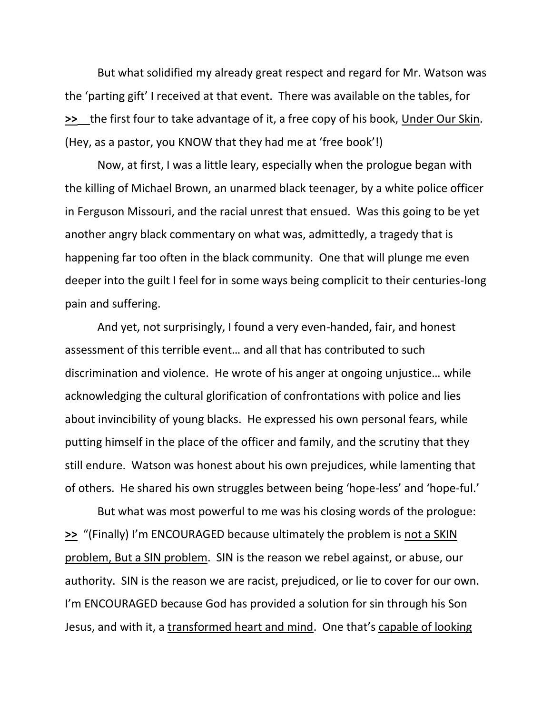But what solidified my already great respect and regard for Mr. Watson was the 'parting gift' I received at that event. There was available on the tables, for **>>**\_\_the first four to take advantage of it, a free copy of his book, Under Our Skin. (Hey, as a pastor, you KNOW that they had me at 'free book'!)

Now, at first, I was a little leary, especially when the prologue began with the killing of Michael Brown, an unarmed black teenager, by a white police officer in Ferguson Missouri, and the racial unrest that ensued. Was this going to be yet another angry black commentary on what was, admittedly, a tragedy that is happening far too often in the black community. One that will plunge me even deeper into the guilt I feel for in some ways being complicit to their centuries-long pain and suffering.

And yet, not surprisingly, I found a very even-handed, fair, and honest assessment of this terrible event… and all that has contributed to such discrimination and violence. He wrote of his anger at ongoing unjustice… while acknowledging the cultural glorification of confrontations with police and lies about invincibility of young blacks. He expressed his own personal fears, while putting himself in the place of the officer and family, and the scrutiny that they still endure. Watson was honest about his own prejudices, while lamenting that of others. He shared his own struggles between being 'hope-less' and 'hope-ful.'

But what was most powerful to me was his closing words of the prologue: **>>** "(Finally) I'm ENCOURAGED because ultimately the problem is not a SKIN problem, But a SIN problem. SIN is the reason we rebel against, or abuse, our authority. SIN is the reason we are racist, prejudiced, or lie to cover for our own. I'm ENCOURAGED because God has provided a solution for sin through his Son Jesus, and with it, a transformed heart and mind. One that's capable of looking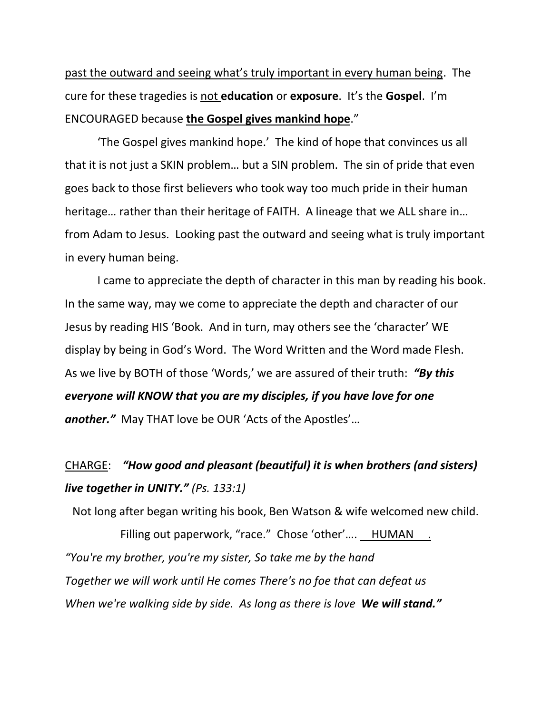past the outward and seeing what's truly important in every human being. The cure for these tragedies is not **education** or **exposure**. It's the **Gospel**. I'm ENCOURAGED because **the Gospel gives mankind hope**."

'The Gospel gives mankind hope.' The kind of hope that convinces us all that it is not just a SKIN problem… but a SIN problem. The sin of pride that even goes back to those first believers who took way too much pride in their human heritage… rather than their heritage of FAITH. A lineage that we ALL share in… from Adam to Jesus. Looking past the outward and seeing what is truly important in every human being.

I came to appreciate the depth of character in this man by reading his book. In the same way, may we come to appreciate the depth and character of our Jesus by reading HIS 'Book. And in turn, may others see the 'character' WE display by being in God's Word. The Word Written and the Word made Flesh. As we live by BOTH of those 'Words,' we are assured of their truth: *"By this everyone will KNOW that you are my disciples, if you have love for one another."* May THAT love be OUR 'Acts of the Apostles'…

## CHARGE: *"How good and pleasant (beautiful) it is when brothers (and sisters) live together in UNITY." (Ps. 133:1)*

Not long after began writing his book, Ben Watson & wife welcomed new child.

Filling out paperwork, "race." Chose 'other'.... HUMAN . *"You're my brother, you're my sister, So take me by the hand Together we will work until He comes There's no foe that can defeat us When we're walking side by side. As long as there is love We will stand."*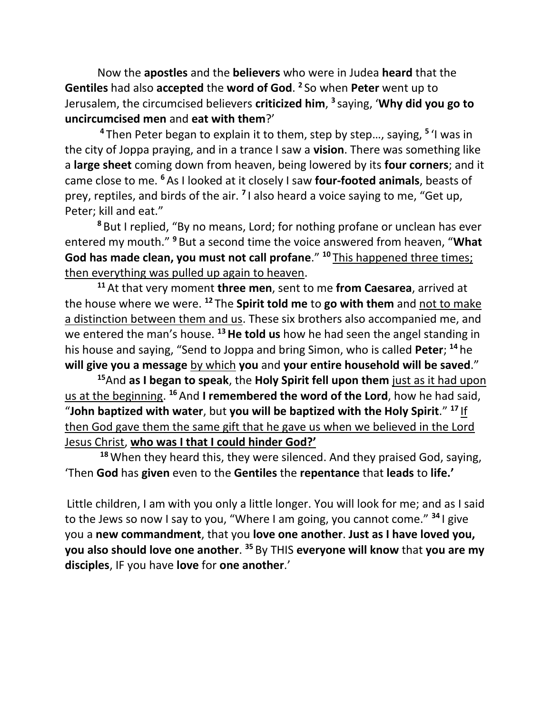Now the **apostles** and the **believers** who were in Judea **heard** that the **Gentiles** had also **accepted** the **word of God**. **2** So when **Peter** went up to Jerusalem, the circumcised believers **criticized him**, **3** saying, '**Why did you go to uncircumcised men** and **eat with them**?'

**<sup>4</sup>** Then Peter began to explain it to them, step by step…, saying, **<sup>5</sup>** 'I was in the city of Joppa praying, and in a trance I saw a **vision**. There was something like a **large sheet** coming down from heaven, being lowered by its **four corners**; and it came close to me. **<sup>6</sup>** As I looked at it closely I saw **four-footed animals**, beasts of prey, reptiles, and birds of the air. **<sup>7</sup>** I also heard a voice saying to me, "Get up, Peter; kill and eat."

**<sup>8</sup>** But I replied, "By no means, Lord; for nothing profane or unclean has ever entered my mouth." **<sup>9</sup>** But a second time the voice answered from heaven, "**What God has made clean, you must not call profane**." **<sup>10</sup>** This happened three times; then everything was pulled up again to heaven.

**<sup>11</sup>** At that very moment **three men**, sent to me **from Caesarea**, arrived at the house where we were. **<sup>12</sup>** The **Spirit told me** to **go with them** and not to make a distinction between them and us. These six brothers also accompanied me, and we entered the man's house. **<sup>13</sup>He told us** how he had seen the angel standing in his house and saying, "Send to Joppa and bring Simon, who is called **Peter**; **<sup>14</sup>** he **will give you a message** by which **you** and **your entire household will be saved**."

**<sup>15</sup>**And **as I began to speak**, the **Holy Spirit fell upon them** just as it had upon us at the beginning. **<sup>16</sup>** And **I remembered the word of the Lord**, how he had said, "**John baptized with water**, but **you will be baptized with the Holy Spirit**." **<sup>17</sup>** If then God gave them the same gift that he gave us when we believed in the Lord Jesus Christ, **who was I that I could hinder God?'**

**<sup>18</sup>**When they heard this, they were silenced. And they praised God, saying, 'Then **God** has **given** even to the **Gentiles** the **repentance** that **leads** to **life.'**

Little children, I am with you only a little longer. You will look for me; and as I said to the Jews so now I say to you, "Where I am going, you cannot come." **<sup>34</sup>** I give you a **new commandment**, that you **love one another**. **Just as I have loved you, you also should love one another**. **<sup>35</sup>** By THIS **everyone will know** that **you are my disciples**, IF you have **love** for **one another**.'